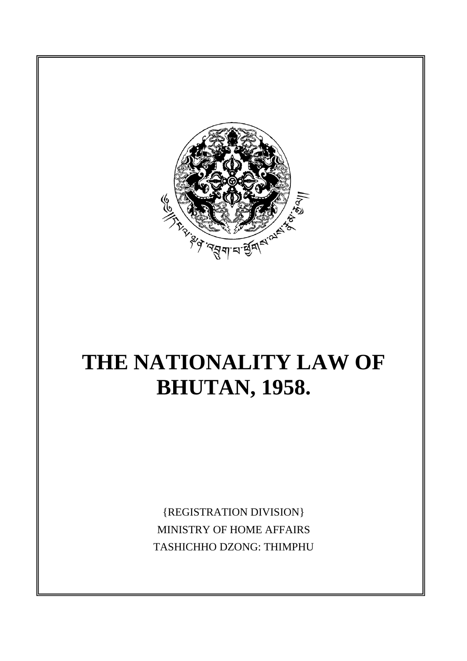

## **THE NATIONALITY LAW OF BHUTAN, 1958.**

{REGISTRATION DIVISION} MINISTRY OF HOME AFFAIRS TASHICHHO DZONG: THIMPHU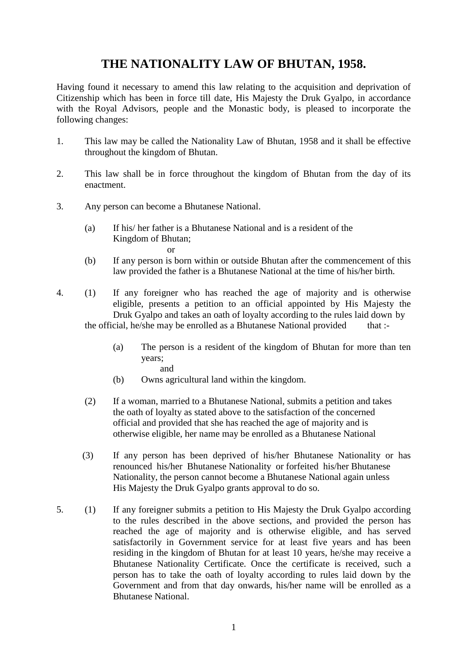## **THE NATIONALITY LAW OF BHUTAN, 1958.**

Having found it necessary to amend this law relating to the acquisition and deprivation of Citizenship which has been in force till date, His Majesty the Druk Gyalpo, in accordance with the Royal Advisors, people and the Monastic body, is pleased to incorporate the following changes:

- 1. This law may be called the Nationality Law of Bhutan, 1958 and it shall be effective throughout the kingdom of Bhutan.
- 2. This law shall be in force throughout the kingdom of Bhutan from the day of its enactment.
- 3. Any person can become a Bhutanese National.
	- (a) If his/ her father is a Bhutanese National and is a resident of the Kingdom of Bhutan; or

- (b) If any person is born within or outside Bhutan after the commencement of this law provided the father is a Bhutanese National at the time of his/her birth.
- 4. (1) If any foreigner who has reached the age of majority and is otherwise eligible, presents a petition to an official appointed by His Majesty the Druk Gyalpo and takes an oath of loyalty according to the rules laid down by the official, he/she may be enrolled as a Bhutanese National provided that :-
	- (a) The person is a resident of the kingdom of Bhutan for more than ten years; and
	- (b) Owns agricultural land within the kingdom.
	- (2) If a woman, married to a Bhutanese National, submits a petition and takes the oath of loyalty as stated above to the satisfaction of the concerned official and provided that she has reached the age of majority and is otherwise eligible, her name may be enrolled as a Bhutanese National
	- (3) If any person has been deprived of his/her Bhutanese Nationality or has renounced his/her Bhutanese Nationality or forfeited his/her Bhutanese Nationality, the person cannot become a Bhutanese National again unless His Majesty the Druk Gyalpo grants approval to do so.
- 5. (1) If any foreigner submits a petition to His Majesty the Druk Gyalpo according to the rules described in the above sections, and provided the person has reached the age of majority and is otherwise eligible, and has served satisfactorily in Government service for at least five years and has been residing in the kingdom of Bhutan for at least 10 years, he/she may receive a Bhutanese Nationality Certificate. Once the certificate is received, such a person has to take the oath of loyalty according to rules laid down by the Government and from that day onwards, his/her name will be enrolled as a Bhutanese National.